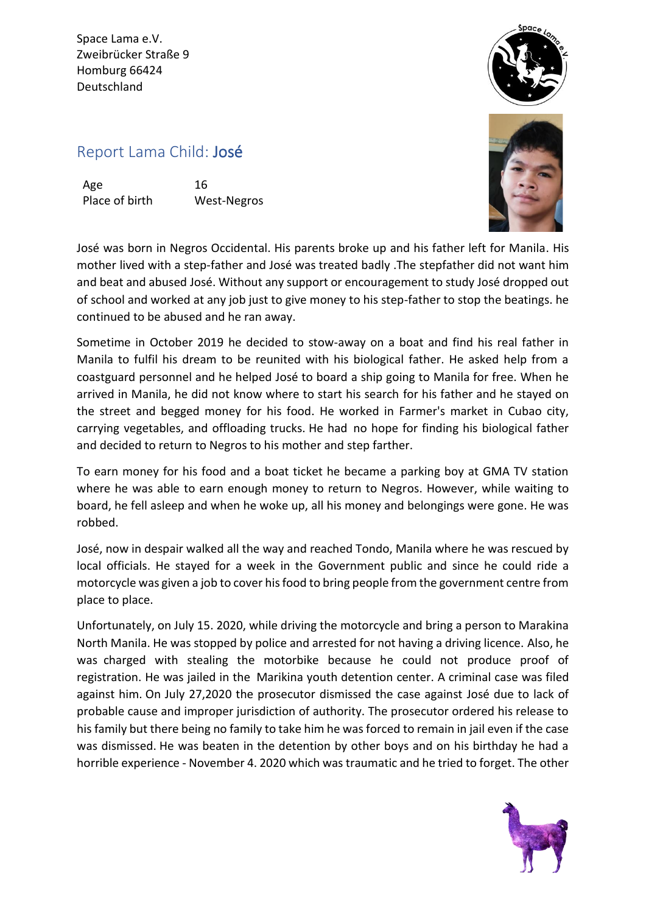Space Lama e.V. Zweibrücker Straße 9 Homburg 66424 Deutschland



## Report Lama Child: José

Age 16 Place of birth West-Negros



José was born in Negros Occidental. His parents broke up and his father left for Manila. His mother lived with a step-father and José was treated badly .The stepfather did not want him and beat and abused José. Without any support or encouragement to study José dropped out of school and worked at any job just to give money to his step-father to stop the beatings. he continued to be abused and he ran away.

Sometime in October 2019 he decided to stow-away on a boat and find his real father in Manila to fulfil his dream to be reunited with his biological father. He asked help from a coastguard personnel and he helped José to board a ship going to Manila for free. When he arrived in Manila, he did not know where to start his search for his father and he stayed on the street and begged money for his food. He worked in Farmer's market in Cubao city, carrying vegetables, and offloading trucks. He had no hope for finding his biological father and decided to return to Negros to his mother and step farther.

To earn money for his food and a boat ticket he became a parking boy at GMA TV station where he was able to earn enough money to return to Negros. However, while waiting to board, he fell asleep and when he woke up, all his money and belongings were gone. He was robbed.

José, now in despair walked all the way and reached Tondo, Manila where he was rescued by local officials. He stayed for a week in the Government public and since he could ride a motorcycle was given a job to cover his food to bring people from the government centre from place to place.

Unfortunately, on July 15. 2020, while driving the motorcycle and bring a person to Marakina North Manila. He was stopped by police and arrested for not having a driving licence. Also, he was charged with stealing the motorbike because he could not produce proof of registration. He was jailed in the Marikina youth detention center. A criminal case was filed against him. On July 27,2020 the prosecutor dismissed the case against José due to lack of probable cause and improper jurisdiction of authority. The prosecutor ordered his release to his family but there being no family to take him he was forced to remain in jail even if the case was dismissed. He was beaten in the detention by other boys and on his birthday he had a horrible experience - November 4. 2020 which was traumatic and he tried to forget. The other